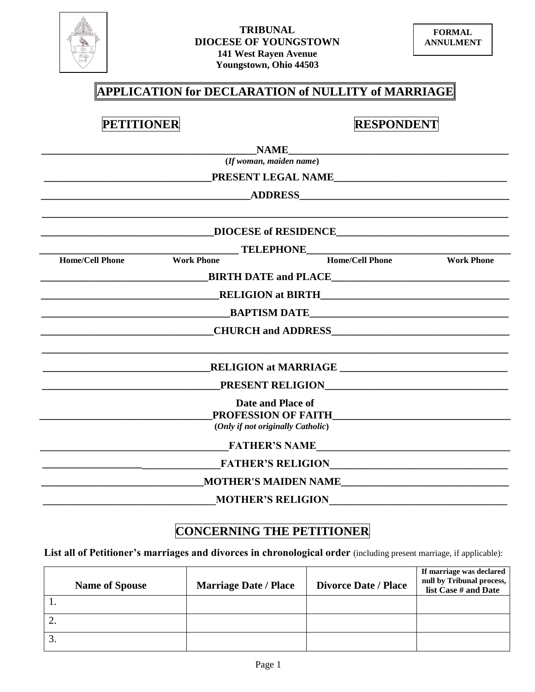

#### **TRIBUNAL DIOCESE OF YOUNGSTOWN 141 West Rayen Avenue Youngstown, Ohio 44503**



### **APPLICATION for DECLARATION of NULLITY of MARRIAGE**

## **PETITIONER** RESPONDENT

**NAME** 

 **(***If woman, maiden name***)**

#### **\_\_\_\_\_\_\_\_\_\_\_\_\_\_\_\_\_\_\_\_\_\_\_\_\_\_\_\_\_\_\_\_PRESENT LEGAL NAME\_\_\_\_\_\_\_\_\_\_\_\_\_\_\_\_\_\_\_\_\_\_\_\_\_\_\_\_\_\_\_\_\_**

 $\Delta$ DDRESS

**\_\_\_\_\_\_\_\_\_\_\_\_\_\_\_\_\_\_\_\_\_\_\_\_\_\_\_\_\_\_\_\_\_\_\_\_\_\_\_\_\_\_\_\_\_\_\_\_\_\_\_\_\_\_\_\_\_\_\_\_\_\_\_\_\_\_\_\_\_\_\_\_\_\_\_\_\_\_\_\_\_\_\_\_\_\_\_\_\_** DIOCESE of RESIDENCE

# **\_\_\_\_\_\_\_\_\_\_\_\_\_\_\_\_\_\_\_\_\_\_\_\_\_\_\_\_\_\_\_\_\_\_\_\_\_\_ TELEPHONE\_\_\_\_\_\_\_\_\_\_\_\_\_\_\_\_\_\_\_\_\_\_\_\_\_\_\_\_\_\_\_\_\_\_\_\_\_\_\_**

 **Home/Cell Phone Work Phone Home/Cell Phone Work Phone**

**\_\_\_\_\_\_\_\_\_\_\_\_\_\_\_\_\_\_\_\_\_\_\_\_\_\_\_\_\_\_\_\_BIRTH DATE and PLACE\_\_\_\_\_\_\_\_\_\_\_\_\_\_\_\_\_\_\_\_\_\_\_\_\_\_\_\_\_\_\_\_\_\_**

 $\n \ \mathbf{RELIGION}$  at BIRTH

**\_\_\_\_\_\_\_\_\_\_\_\_\_\_\_\_\_\_\_\_\_\_\_\_\_\_\_\_\_\_\_\_\_\_\_\_BAPTISM DATE\_\_\_\_\_\_\_\_\_\_\_\_\_\_\_\_\_\_\_\_\_\_\_\_\_\_\_\_\_\_\_\_\_\_\_\_\_\_**

CHURCH and ADDRESS

#### RELIGION at MARRIAGE

**\_\_\_\_\_\_\_\_\_\_\_\_\_\_\_\_\_\_\_\_\_\_\_\_\_\_\_\_\_\_\_\_\_\_\_\_\_\_\_\_\_\_\_\_\_\_\_\_\_\_\_\_\_\_\_\_\_\_\_\_\_\_\_\_\_\_\_\_\_\_\_\_\_\_\_\_\_\_\_\_\_\_\_\_\_\_\_\_\_**

PRESENT RELIGION

**Date and Place of**

**\_\_\_\_\_\_\_\_\_\_\_\_\_\_\_\_\_\_\_\_\_\_\_\_\_\_\_\_\_\_\_\_\_PROFESSION OF FAITH\_\_\_\_\_\_\_\_\_\_\_\_\_\_\_\_\_\_\_\_\_\_\_\_\_\_\_\_\_\_\_\_\_\_ (***Only if not originally Catholic***)**

**\_\_\_\_\_\_\_\_\_\_\_\_\_\_\_\_\_\_\_\_\_\_\_\_\_\_\_\_\_\_\_\_\_\_\_\_FATHER'S NAME\_\_\_\_\_\_\_\_\_\_\_\_\_\_\_\_\_\_\_\_\_\_\_\_\_\_\_\_\_\_\_\_\_\_\_\_\_**

**\_\_\_\_\_\_\_\_\_\_\_\_\_\_\_\_\_\_\_\_\_\_\_\_\_\_\_\_\_\_\_\_\_\_FATHER'S RELIGION\_\_\_\_\_\_\_\_\_\_\_\_\_\_\_\_\_\_\_\_\_\_\_\_\_\_\_\_\_\_\_\_\_\_**

**\_\_\_\_\_\_\_\_\_\_\_\_\_\_\_\_\_\_\_\_\_\_\_\_\_\_\_\_\_\_\_MOTHER'S MAIDEN NAME\_\_\_\_\_\_\_\_\_\_\_\_\_\_\_\_\_\_\_\_\_\_\_\_\_\_\_\_\_\_\_\_**

**MOTHER'S RELIGION** 

## **CONCERNING THE PETITIONER**

**List all of Petitioner's marriages and divorces in chronological order** (including present marriage, if applicable):

|    | <b>Name of Spouse</b> | <b>Marriage Date / Place</b> | <b>Divorce Date / Place</b> | If marriage was declared<br>null by Tribunal process,<br>list Case # and Date |
|----|-----------------------|------------------------------|-----------------------------|-------------------------------------------------------------------------------|
|    |                       |                              |                             |                                                                               |
| ٠. |                       |                              |                             |                                                                               |
| ◠  |                       |                              |                             |                                                                               |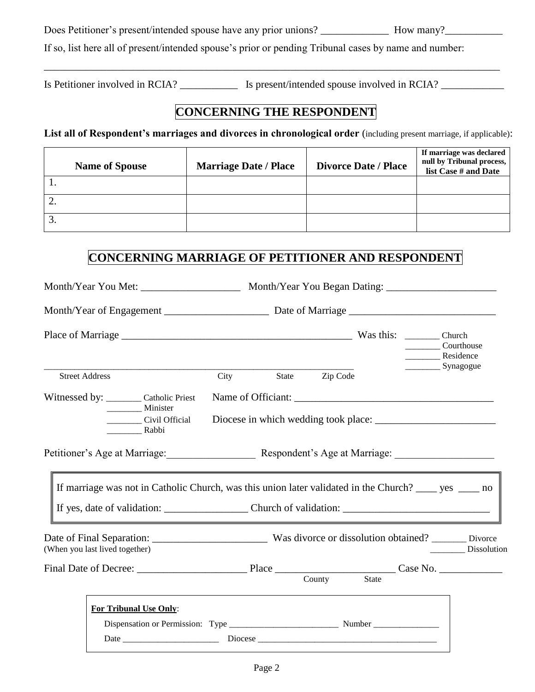Does Petitioner's present/intended spouse have any prior unions? \_\_\_\_\_\_\_\_\_\_\_\_\_\_\_ How many?\_\_\_\_\_\_\_\_\_\_ If so, list here all of present/intended spouse's prior or pending Tribunal cases by name and number:

Is Petitioner involved in RCIA? \_\_\_\_\_\_\_\_\_\_\_ Is present/intended spouse involved in RCIA? \_\_\_\_\_\_\_\_\_\_\_\_

## **CONCERNING THE RESPONDENT**

\_\_\_\_\_\_\_\_\_\_\_\_\_\_\_\_\_\_\_\_\_\_\_\_\_\_\_\_\_\_\_\_\_\_\_\_\_\_\_\_\_\_\_\_\_\_\_\_\_\_\_\_\_\_\_\_\_\_\_\_\_\_\_\_\_\_\_\_\_\_\_\_\_\_\_\_\_\_\_\_\_\_\_\_\_\_\_

**List all of Respondent's marriages and divorces in chronological order** (including present marriage, if applicable):

|            | <b>Name of Spouse</b> | <b>Marriage Date / Place</b> | <b>Divorce Date / Place</b> | If marriage was declared<br>null by Tribunal process,<br>list Case # and Date |
|------------|-----------------------|------------------------------|-----------------------------|-------------------------------------------------------------------------------|
|            |                       |                              |                             |                                                                               |
| <u>L</u> . |                       |                              |                             |                                                                               |
| ິ.         |                       |                              |                             |                                                                               |

## **CONCERNING MARRIAGE OF PETITIONER AND RESPONDENT**

|                                                      | Month/Year You Met: _________________________ Month/Year You Began Dating: _________________________     |                                                    |
|------------------------------------------------------|----------------------------------------------------------------------------------------------------------|----------------------------------------------------|
|                                                      |                                                                                                          |                                                    |
|                                                      |                                                                                                          | Courthouse<br>Residence<br>_____________ Synagogue |
| <b>Street Address</b>                                | State Zip Code<br>City                                                                                   |                                                    |
| Witnessed by: __________ Catholic Priest<br>Minister |                                                                                                          |                                                    |
| Civil Official<br>Rabbi                              |                                                                                                          |                                                    |
|                                                      | Petitioner's Age at Marriage: Respondent's Age at Marriage: 1996. [19] Respondent's Age at Marriage:     |                                                    |
|                                                      | If marriage was not in Catholic Church, was this union later validated in the Church? _____ yes _____ no |                                                    |
|                                                      |                                                                                                          |                                                    |
| (When you last lived together)                       |                                                                                                          | Dissolution                                        |
|                                                      | County                                                                                                   | <b>State</b>                                       |
| <b>For Tribunal Use Only:</b>                        |                                                                                                          |                                                    |
|                                                      |                                                                                                          |                                                    |
|                                                      |                                                                                                          |                                                    |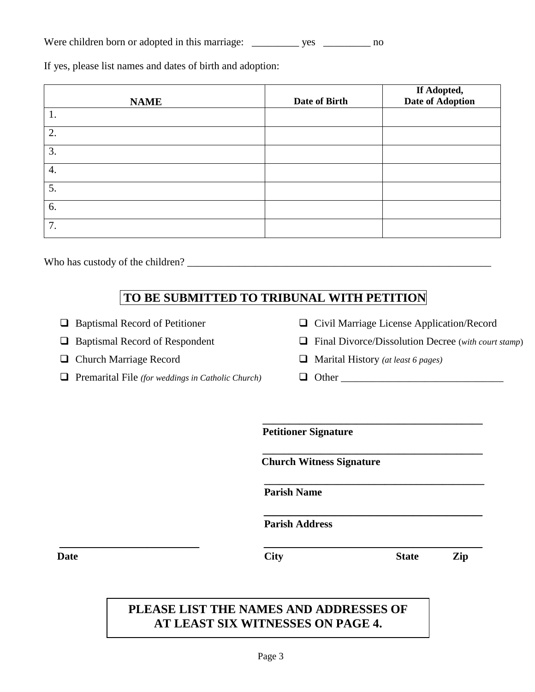Were children born or adopted in this marriage: \_\_\_\_\_\_\_\_\_ yes \_\_\_\_\_\_\_\_\_ no

If yes, please list names and dates of birth and adoption:

| <b>NAME</b> | Date of Birth | If Adopted,<br>Date of Adoption |
|-------------|---------------|---------------------------------|
| 1.          |               |                                 |
| 2.          |               |                                 |
| 3.          |               |                                 |
| 4.          |               |                                 |
| 5.          |               |                                 |
| 6.          |               |                                 |
| 7.          |               |                                 |

Who has custody of the children? \_\_\_\_\_\_\_\_\_\_\_\_\_\_\_\_\_\_\_\_\_\_\_\_\_\_\_\_\_\_\_\_\_\_\_\_\_\_\_\_\_\_\_\_\_\_\_\_\_\_\_\_\_\_\_\_\_\_

## **TO BE SUBMITTED TO TRIBUNAL WITH PETITION**

- □ Baptismal Record of Petitioner
- □ Baptismal Record of Respondent
- □ Church Marriage Record
- Premarital File *(for weddings in Catholic Church)*
- □ Civil Marriage License Application/Record
- Final Divorce/Dissolution Decree (*with court stamp*)
- Marital History *(at least 6 pages)*

 **\_\_\_\_\_\_\_\_\_\_\_\_\_\_\_\_\_\_\_\_\_\_\_\_\_\_\_\_\_\_\_\_\_\_\_\_\_\_\_\_\_\_**

Other \_\_\_\_\_\_\_\_\_\_\_\_\_\_\_\_\_\_\_\_\_\_\_\_\_\_\_\_\_\_\_

 **Petitioner Signature**

 **Church Witness Signature**

 **\_\_\_\_\_\_\_\_\_\_\_\_\_\_\_\_\_\_\_\_\_\_\_\_\_\_\_\_\_\_\_\_\_\_\_\_\_\_\_\_\_\_**

**\_\_\_\_\_\_\_\_\_\_\_\_\_\_\_\_\_\_\_\_\_\_\_\_\_\_\_\_\_\_\_\_\_\_\_\_\_\_\_\_\_\_ Parish Name**

 $\mathcal{L}=\{1,2,3,4,5\}$  , we can assume that  $\mathcal{L}=\{1,2,3,4,5\}$ **Parish Address**

**Date City** State **Zip** 

## **PLEASE LIST THE NAMES AND ADDRESSES OF PLEASE LIST THE NAMES AND ADDRESSES OF AT LEAST SIX WITNESSES ON PAGE 4. AT LEAST SIX WITNESSES ON PAGE 4.**

 $\overline{\phantom{a}}$  , and the contract of the contract of the contract of the contract of the contract of the contract of the contract of the contract of the contract of the contract of the contract of the contract of the contrac